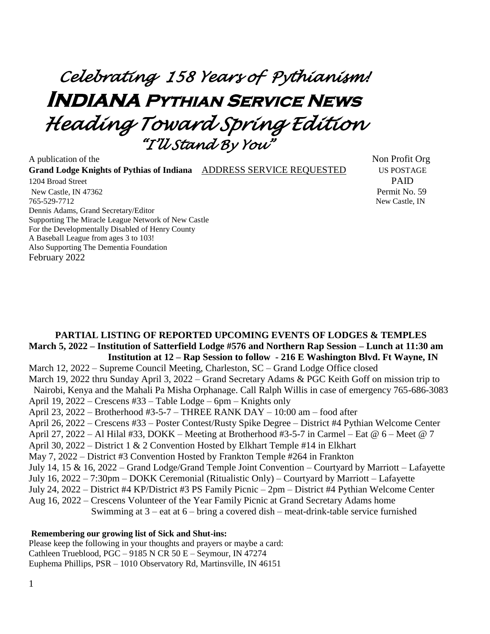# *Celebrating 158 Years of Pythianism!*  **Indiana Pythian Service News**  *Heading Toward Spring Edition "I'll Stand By You"*

A publication of the Non-**Grand Lodge Knights of Pythias of Indiana** ADDRESS SERVICE REQUESTED US POSTAGE 1204 Broad Street PAID New Castle, IN 47362 Permit No. 59 765-529-7712 New Castle, IN Dennis Adams, Grand Secretary/Editor Supporting The Miracle League Network of New Castle For the Developmentally Disabled of Henry County A Baseball League from ages 3 to 103! Also Supporting The Dementia Foundation February 2022

#### **PARTIAL LISTING OF REPORTED UPCOMING EVENTS OF LODGES & TEMPLES March 5, 2022 – Institution of Satterfield Lodge #576 and Northern Rap Session – Lunch at 11:30 am Institution at 12 – Rap Session to follow - 216 E Washington Blvd. Ft Wayne, IN**

March 12, 2022 – Supreme Council Meeting, Charleston, SC – Grand Lodge Office closed March 19, 2022 thru Sunday April 3, 2022 – Grand Secretary Adams & PGC Keith Goff on mission trip to Nairobi, Kenya and the Mahali Pa Misha Orphanage. Call Ralph Willis in case of emergency 765-686-3083 April 19, 2022 – Crescens #33 – Table Lodge – 6pm – Knights only April 23, 2022 – Brotherhood #3-5-7 – THREE RANK DAY – 10:00 am – food after April 26, 2022 – Crescens #33 – Poster Contest/Rusty Spike Degree – District #4 Pythian Welcome Center April 27, 2022 – Al Hilal #33, DOKK – Meeting at Brotherhood #3-5-7 in Carmel – Eat @  $6$  – Meet @ 7 April 30, 2022 – District 1 & 2 Convention Hosted by Elkhart Temple #14 in Elkhart May 7, 2022 – District #3 Convention Hosted by Frankton Temple #264 in Frankton July 14, 15 & 16, 2022 – Grand Lodge/Grand Temple Joint Convention – Courtyard by Marriott – Lafayette July 16, 2022 – 7:30pm – DOKK Ceremonial (Ritualistic Only) – Courtyard by Marriott – Lafayette July 24, 2022 – District #4 KP/District #3 PS Family Picnic – 2pm – District #4 Pythian Welcome Center Aug 16, 2022 – Crescens Volunteer of the Year Family Picnic at Grand Secretary Adams home Swimming at  $3 -$  eat at  $6 -$  bring a covered dish – meat-drink-table service furnished

#### **Remembering our growing list of Sick and Shut-ins:**

Please keep the following in your thoughts and prayers or maybe a card: Cathleen Trueblood, PGC – 9185 N CR 50 E – Seymour, IN 47274 Euphema Phillips, PSR – 1010 Observatory Rd, Martinsville, IN 46151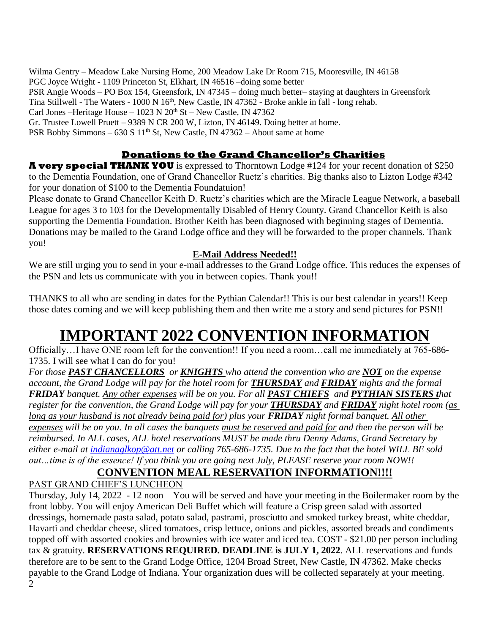Wilma Gentry – Meadow Lake Nursing Home, 200 Meadow Lake Dr Room 715, Mooresville, IN 46158 PGC Joyce Wright - 1109 Princeton St, Elkhart, IN 46516 –doing some better PSR Angie Woods – PO Box 154, Greensfork, IN 47345 – doing much better– staying at daughters in Greensfork Tina Stillwell - The Waters - 1000 N 16<sup>th</sup>, New Castle, IN 47362 - Broke ankle in fall - long rehab. Carl Jones –Heritage House –  $1023$  N  $20<sup>th</sup>$  St – New Castle, IN 47362 Gr. Trustee Lowell Pruett – 9389 N CR 200 W, Lizton, IN 46149. Doing better at home. PSR Bobby Simmons – 630 S  $11<sup>th</sup>$  St, New Castle, IN 47362 – About same at home

#### **Donations to the Grand Chancellor's Charities**

**A very special THANK YOU** is expressed to Thorntown Lodge #124 for your recent donation of \$250 to the Dementia Foundation, one of Grand Chancellor Ruetz's charities. Big thanks also to Lizton Lodge #342 for your donation of \$100 to the Dementia Foundatuion!

Please donate to Grand Chancellor Keith D. Ruetz's charities which are the Miracle League Network, a baseball League for ages 3 to 103 for the Developmentally Disabled of Henry County. Grand Chancellor Keith is also supporting the Dementia Foundation. Brother Keith has been diagnosed with beginning stages of Dementia. Donations may be mailed to the Grand Lodge office and they will be forwarded to the proper channels. Thank you!

#### **E-Mail Address Needed!!**

We are still urging you to send in your e-mail addresses to the Grand Lodge office. This reduces the expenses of the PSN and lets us communicate with you in between copies. Thank you!!

THANKS to all who are sending in dates for the Pythian Calendar!! This is our best calendar in years!! Keep those dates coming and we will keep publishing them and then write me a story and send pictures for PSN!!

## **IMPORTANT 2022 CONVENTION INFORMATION**

Officially…I have ONE room left for the convention!! If you need a room…call me immediately at 765-686- 1735. I will see what I can do for you!

*For those PAST CHANCELLORS or KNIGHTS who attend the convention who are NOT on the expense account, the Grand Lodge will pay for the hotel room for THURSDAY and FRIDAY nights and the formal FRIDAY banquet. Any other expenses will be on you. For all PAST CHIEFS and PYTHIAN SISTERS that register for the convention, the Grand Lodge will pay for your THURSDAY and FRIDAY night hotel room (as long as your husband is not already being paid for) plus your FRIDAY night formal banquet. All other expenses will be on you. In all cases the banquets must be reserved and paid for and then the person will be reimbursed. In ALL cases, ALL hotel reservations MUST be made thru Denny Adams, Grand Secretary by either e-mail at [indianaglkop@att.net](mailto:indianaglkop@att.net) or calling 765-686-1735. Due to the fact that the hotel WILL BE sold out…time is of the essence! If you think you are going next July, PLEASE reserve your room NOW!!* 

## **CONVENTION MEAL RESERVATION INFORMATION!!!!**

PAST GRAND CHIEF'S LUNCHEON

2 Thursday, July 14, 2022 - 12 noon – You will be served and have your meeting in the Boilermaker room by the front lobby. You will enjoy American Deli Buffet which will feature a Crisp green salad with assorted dressings, homemade pasta salad, potato salad, pastrami, prosciutto and smoked turkey breast, white cheddar, Havarti and cheddar cheese, sliced tomatoes, crisp lettuce, onions and pickles, assorted breads and condiments topped off with assorted cookies and brownies with ice water and iced tea. COST - \$21.00 per person including tax & gratuity. **RESERVATIONS REQUIRED. DEADLINE is JULY 1, 2022**. ALL reservations and funds therefore are to be sent to the Grand Lodge Office, 1204 Broad Street, New Castle, IN 47362. Make checks payable to the Grand Lodge of Indiana. Your organization dues will be collected separately at your meeting.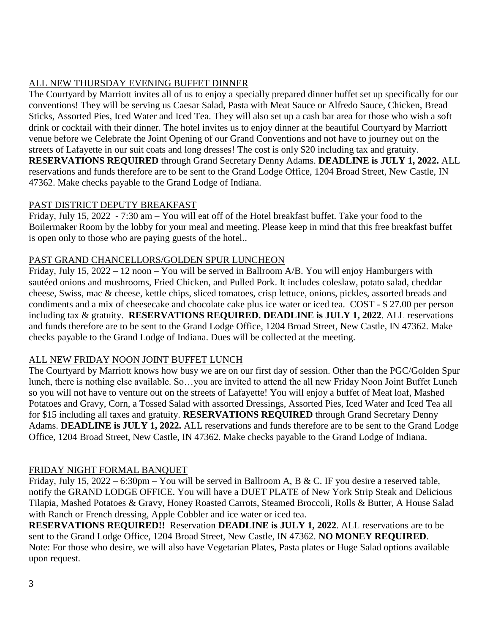#### ALL NEW THURSDAY EVENING BUFFET DINNER

The Courtyard by Marriott invites all of us to enjoy a specially prepared dinner buffet set up specifically for our conventions! They will be serving us Caesar Salad, Pasta with Meat Sauce or Alfredo Sauce, Chicken, Bread Sticks, Assorted Pies, Iced Water and Iced Tea. They will also set up a cash bar area for those who wish a soft drink or cocktail with their dinner. The hotel invites us to enjoy dinner at the beautiful Courtyard by Marriott venue before we Celebrate the Joint Opening of our Grand Conventions and not have to journey out on the streets of Lafayette in our suit coats and long dresses! The cost is only \$20 including tax and gratuity. **RESERVATIONS REQUIRED** through Grand Secretary Denny Adams. **DEADLINE is JULY 1, 2022.** ALL reservations and funds therefore are to be sent to the Grand Lodge Office, 1204 Broad Street, New Castle, IN 47362. Make checks payable to the Grand Lodge of Indiana.

#### PAST DISTRICT DEPUTY BREAKFAST

Friday, July 15, 2022 - 7:30 am – You will eat off of the Hotel breakfast buffet. Take your food to the Boilermaker Room by the lobby for your meal and meeting. Please keep in mind that this free breakfast buffet is open only to those who are paying guests of the hotel..

#### PAST GRAND CHANCELLORS/GOLDEN SPUR LUNCHEON

Friday, July 15, 2022 – 12 noon – You will be served in Ballroom A/B. You will enjoy Hamburgers with sautéed onions and mushrooms, Fried Chicken, and Pulled Pork. It includes coleslaw, potato salad, cheddar cheese, Swiss, mac & cheese, kettle chips, sliced tomatoes, crisp lettuce, onions, pickles, assorted breads and condiments and a mix of cheesecake and chocolate cake plus ice water or iced tea. COST - \$ 27.00 per person including tax & gratuity. **RESERVATIONS REQUIRED. DEADLINE is JULY 1, 2022**. ALL reservations and funds therefore are to be sent to the Grand Lodge Office, 1204 Broad Street, New Castle, IN 47362. Make checks payable to the Grand Lodge of Indiana. Dues will be collected at the meeting.

#### ALL NEW FRIDAY NOON JOINT BUFFET LUNCH

The Courtyard by Marriott knows how busy we are on our first day of session. Other than the PGC/Golden Spur lunch, there is nothing else available. So…you are invited to attend the all new Friday Noon Joint Buffet Lunch so you will not have to venture out on the streets of Lafayette! You will enjoy a buffet of Meat loaf, Mashed Potatoes and Gravy, Corn, a Tossed Salad with assorted Dressings, Assorted Pies, Iced Water and Iced Tea all for \$15 including all taxes and gratuity. **RESERVATIONS REQUIRED** through Grand Secretary Denny Adams. **DEADLINE is JULY 1, 2022.** ALL reservations and funds therefore are to be sent to the Grand Lodge Office, 1204 Broad Street, New Castle, IN 47362. Make checks payable to the Grand Lodge of Indiana.

#### FRIDAY NIGHT FORMAL BANQUET

Friday, July 15, 2022 – 6:30pm – You will be served in Ballroom A, B & C. IF you desire a reserved table, notify the GRAND LODGE OFFICE. You will have a DUET PLATE of New York Strip Steak and Delicious Tilapia, Mashed Potatoes & Gravy, Honey Roasted Carrots, Steamed Broccoli, Rolls & Butter, A House Salad with Ranch or French dressing, Apple Cobbler and ice water or iced tea.

**RESERVATIONS REQUIRED!!** Reservation **DEADLINE is JULY 1, 2022**. ALL reservations are to be sent to the Grand Lodge Office, 1204 Broad Street, New Castle, IN 47362. **NO MONEY REQUIRED**. Note: For those who desire, we will also have Vegetarian Plates, Pasta plates or Huge Salad options available upon request.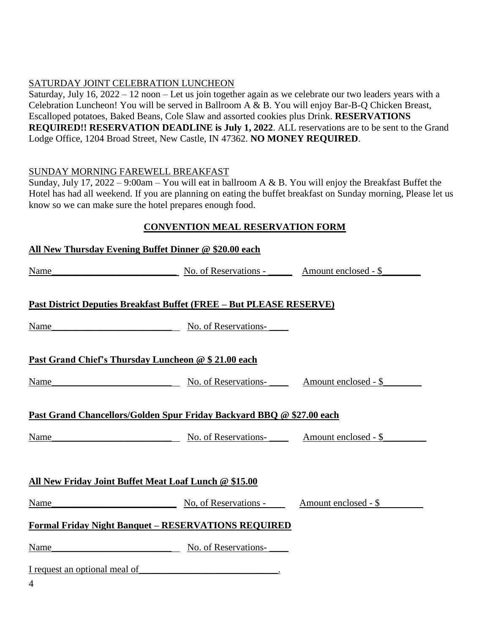#### SATURDAY JOINT CELEBRATION LUNCHEON

Saturday, July 16, 2022 – 12 noon – Let us join together again as we celebrate our two leaders years with a Celebration Luncheon! You will be served in Ballroom A & B. You will enjoy Bar-B-Q Chicken Breast, Escalloped potatoes, Baked Beans, Cole Slaw and assorted cookies plus Drink. **RESERVATIONS REQUIRED!! RESERVATION DEADLINE is July 1, 2022**. ALL reservations are to be sent to the Grand Lodge Office, 1204 Broad Street, New Castle, IN 47362. **NO MONEY REQUIRED**.

#### SUNDAY MORNING FAREWELL BREAKFAST

Sunday, July 17, 2022 – 9:00am – You will eat in ballroom A & B. You will enjoy the Breakfast Buffet the Hotel has had all weekend. If you are planning on eating the buffet breakfast on Sunday morning, Please let us know so we can make sure the hotel prepares enough food.

#### **CONVENTION MEAL RESERVATION FORM**

|      | All New Thursday Evening Buffet Dinner @ \$20.00 each                       |  |
|------|-----------------------------------------------------------------------------|--|
| Name | No. of Reservations - Amount enclosed - \$                                  |  |
|      | <b>Past District Deputies Breakfast Buffet (FREE – But PLEASE RESERVE)</b>  |  |
| Name | No. of Reservations-                                                        |  |
|      | Past Grand Chief's Thursday Luncheon @ \$ 21.00 each                        |  |
| Name | No. of Reservations-<br>No. of Reservations-<br>No. 0. Amount enclosed - \$ |  |
|      | Past Grand Chancellors/Golden Spur Friday Backyard BBQ @ \$27.00 each       |  |
| Name | No. of Reservations-<br>Mo. of Reservations-<br>Monomedia 3                 |  |
|      | All New Friday Joint Buffet Meat Loaf Lunch @ \$15.00                       |  |
|      | Name No. of Reservations - Amount enclosed - \$                             |  |
|      | <b>Formal Friday Night Banquet - RESERVATIONS REQUIRED</b>                  |  |
| Name | No. of Reservations-                                                        |  |
|      | I request an optional meal of                                               |  |
| 4    |                                                                             |  |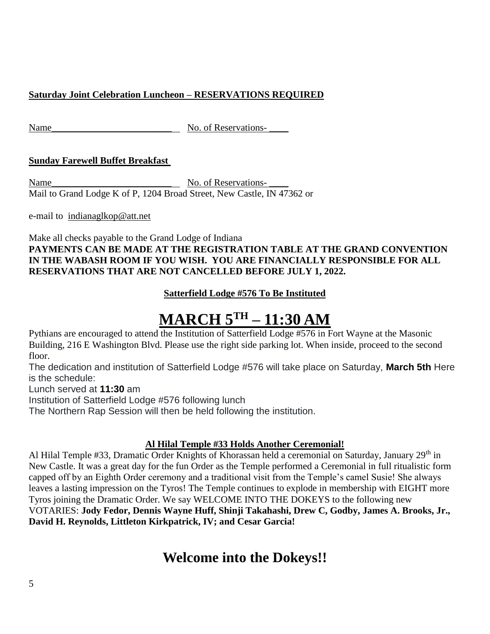#### **Saturday Joint Celebration Luncheon – RESERVATIONS REQUIRED**

Name No. of Reservations-

#### **Sunday Farewell Buffet Breakfast**

Name\_\_\_\_\_\_\_\_\_\_\_\_\_\_\_\_\_\_\_\_\_\_\_\_\_ No. of Reservations- \_\_\_\_ Mail to Grand Lodge K of P, 1204 Broad Street, New Castle, IN 47362 or

e-mail to [indianaglkop@att.net](mailto:indianaglkop@att.net)

Make all checks payable to the Grand Lodge of Indiana **PAYMENTS CAN BE MADE AT THE REGISTRATION TABLE AT THE GRAND CONVENTION IN THE WABASH ROOM IF YOU WISH. YOU ARE FINANCIALLY RESPONSIBLE FOR ALL RESERVATIONS THAT ARE NOT CANCELLED BEFORE JULY 1, 2022.**

#### **Satterfield Lodge #576 To Be Instituted**

# **MARCH 5TH – 11:30 AM**

Pythians are encouraged to attend the Institution of Satterfield Lodge #576 in Fort Wayne at the Masonic Building, 216 E Washington Blvd. Please use the right side parking lot. When inside, proceed to the second floor.

The dedication and institution of Satterfield Lodge #576 will take place on Saturday, **March 5th** Here is the schedule:

Lunch served at **11:30** am

Institution of Satterfield Lodge #576 following lunch

The Northern Rap Session will then be held following the institution.

#### **Al Hilal Temple #33 Holds Another Ceremonial!**

Al Hilal Temple #33, Dramatic Order Knights of Khorassan held a ceremonial on Saturday, January 29<sup>th</sup> in New Castle. It was a great day for the fun Order as the Temple performed a Ceremonial in full ritualistic form capped off by an Eighth Order ceremony and a traditional visit from the Temple's camel Susie! She always leaves a lasting impression on the Tyros! The Temple continues to explode in membership with EIGHT more Tyros joining the Dramatic Order. We say WELCOME INTO THE DOKEYS to the following new VOTARIES: **Jody Fedor, Dennis Wayne Huff, Shinji Takahashi, Drew C, Godby, James A. Brooks, Jr., David H. Reynolds, Littleton Kirkpatrick, IV; and Cesar Garcia!** 

## **Welcome into the Dokeys!!**